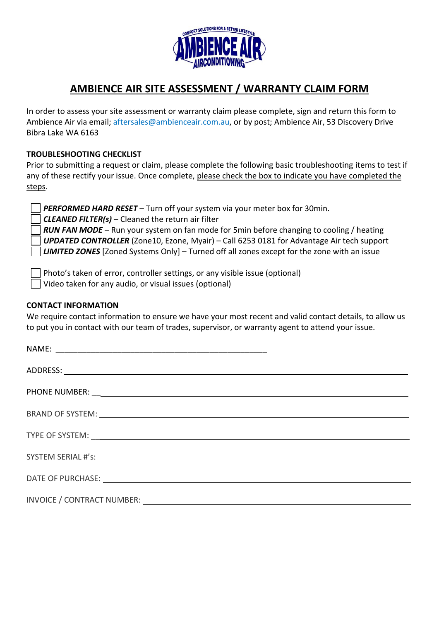

## **AMBIENCE AIR SITE ASSESSMENT / WARRANTY CLAIM FORM**

In order to assess your site assessment or warranty claim please complete, sign and return this form to Ambience Air via email; aftersales@ambienceair.com.au, or by post; Ambience Air, 53 Discovery Drive Bibra Lake WA 6163

## **TROUBLESHOOTING CHECKLIST**

Prior to submitting a request or claim, please complete the following basic troubleshooting items to test if any of these rectify your issue. Once complete, please check the box to indicate you have completed the steps.

*PERFORMED HARD RESET* – Turn off your system via your meter box for 30min.

*CLEANED FILTER(s)* – Cleaned the return air filter

*RUN FAN MODE* – Run your system on fan mode for 5min before changing to cooling / heating *UPDATED CONTROLLER* (Zone10, Ezone, Myair) – Call 6253 0181 for Advantage Air tech support *LIMITED ZONES* [Zoned Systems Only] – Turned off all zones except for the zone with an issue

Photo's taken of error, controller settings, or any visible issue (optional)

Video taken for any audio, or visual issues (optional)

## **CONTACT INFORMATION**

We require contact information to ensure we have your most recent and valid contact details, to allow us to put you in contact with our team of trades, supervisor, or warranty agent to attend your issue.